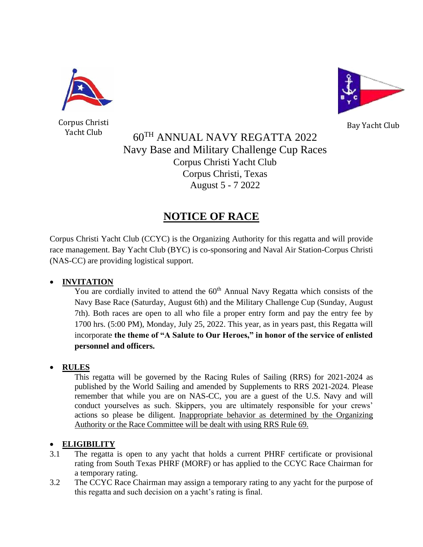

Corpus Christi



Bay Yacht Club

Yacht Club 60<sup>TH</sup> ANNUAL NAVY REGATTA 2022 Navy Base and Military Challenge Cup Races Corpus Christi Yacht Club Corpus Christi, Texas August 5 - 7 2022

# **NOTICE OF RACE**

Corpus Christi Yacht Club (CCYC) is the Organizing Authority for this regatta and will provide race management. Bay Yacht Club (BYC) is co-sponsoring and Naval Air Station-Corpus Christi (NAS-CC) are providing logistical support.

# • **INVITATION**

You are cordially invited to attend the  $60<sup>th</sup>$  Annual Navy Regatta which consists of the Navy Base Race (Saturday, August 6th) and the Military Challenge Cup (Sunday, August 7th). Both races are open to all who file a proper entry form and pay the entry fee by 1700 hrs. (5:00 PM), Monday, July 25, 2022. This year, as in years past, this Regatta will incorporate **the theme of "A Salute to Our Heroes," in honor of the service of enlisted personnel and officers.**

# • **RULES**

This regatta will be governed by the Racing Rules of Sailing (RRS) for 2021-2024 as published by the World Sailing and amended by Supplements to RRS 2021-2024. Please remember that while you are on NAS-CC, you are a guest of the U.S. Navy and will conduct yourselves as such. Skippers, you are ultimately responsible for your crews' actions so please be diligent. Inappropriate behavior as determined by the Organizing Authority or the Race Committee will be dealt with using RRS Rule 69.

# • **ELIGIBILITY**

- 3.1 The regatta is open to any yacht that holds a current PHRF certificate or provisional rating from South Texas PHRF (MORF) or has applied to the CCYC Race Chairman for a temporary rating.
- 3.2 The CCYC Race Chairman may assign a temporary rating to any yacht for the purpose of this regatta and such decision on a yacht's rating is final.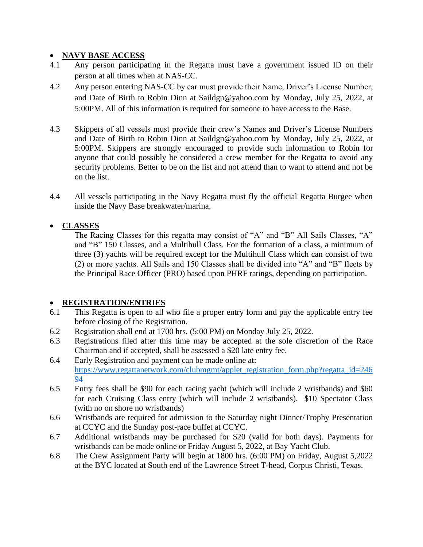### • **NAVY BASE ACCESS**

- 4.1 Any person participating in the Regatta must have a government issued ID on their person at all times when at NAS-CC.
- 4.2 Any person entering NAS-CC by car must provide their Name, Driver's License Number, and Date of Birth to Robin Dinn at Saildgn@yahoo.com by Monday, July 25, 2022, at 5:00PM. All of this information is required for someone to have access to the Base.
- 4.3 Skippers of all vessels must provide their crew's Names and Driver's License Numbers and Date of Birth to Robin Dinn at Saildgn@yahoo.com by Monday, July 25, 2022, at 5:00PM. Skippers are strongly encouraged to provide such information to Robin for anyone that could possibly be considered a crew member for the Regatta to avoid any security problems. Better to be on the list and not attend than to want to attend and not be on the list.
- 4.4 All vessels participating in the Navy Regatta must fly the official Regatta Burgee when inside the Navy Base breakwater/marina.

# • **CLASSES**

The Racing Classes for this regatta may consist of "A" and "B" All Sails Classes, "A" and "B" 150 Classes, and a Multihull Class. For the formation of a class, a minimum of three (3) yachts will be required except for the Multihull Class which can consist of two (2) or more yachts. All Sails and 150 Classes shall be divided into "A" and "B" fleets by the Principal Race Officer (PRO) based upon PHRF ratings, depending on participation.

### • **REGISTRATION/ENTRIES**

- 6.1 This Regatta is open to all who file a proper entry form and pay the applicable entry fee before closing of the Registration.
- 6.2 Registration shall end at 1700 hrs. (5:00 PM) on Monday July 25, 2022.
- 6.3 Registrations filed after this time may be accepted at the sole discretion of the Race Chairman and if accepted, shall be assessed a \$20 late entry fee.
- 6.4 Early Registration and payment can be made online at: [https://www.regattanetwork.com/clubmgmt/applet\\_registration\\_form.php?regatta\\_id=246](https://www.regattanetwork.com/clubmgmt/applet_registration_form.php?regatta_id=24694) [94](https://www.regattanetwork.com/clubmgmt/applet_registration_form.php?regatta_id=24694)
- 6.5 Entry fees shall be \$90 for each racing yacht (which will include 2 wristbands) and \$60 for each Cruising Class entry (which will include 2 wristbands). \$10 Spectator Class (with no on shore no wristbands)
- 6.6 Wristbands are required for admission to the Saturday night Dinner/Trophy Presentation at CCYC and the Sunday post-race buffet at CCYC.
- 6.7 Additional wristbands may be purchased for \$20 (valid for both days). Payments for wristbands can be made online or Friday August 5, 2022, at Bay Yacht Club.
- 6.8 The Crew Assignment Party will begin at 1800 hrs. (6:00 PM) on Friday, August 5,2022 at the BYC located at South end of the Lawrence Street T-head, Corpus Christi, Texas.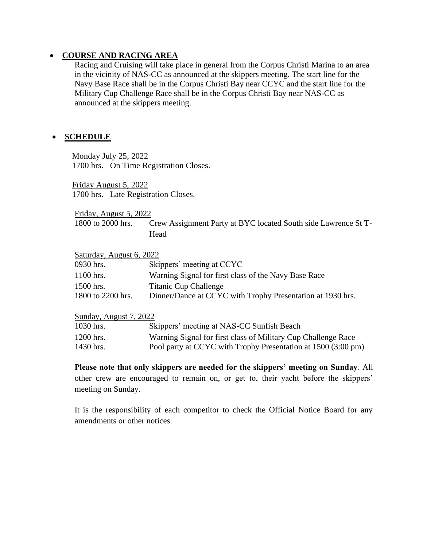#### • **COURSE AND RACING AREA**

Racing and Cruising will take place in general from the Corpus Christi Marina to an area in the vicinity of NAS-CC as announced at the skippers meeting. The start line for the Navy Base Race shall be in the Corpus Christi Bay near CCYC and the start line for the Military Cup Challenge Race shall be in the Corpus Christi Bay near NAS-CC as announced at the skippers meeting.

### • **SCHEDULE**

Monday July 25, 2022 1700 hrs. On Time Registration Closes.

Friday August 5, 2022 1700 hrs. Late Registration Closes.

Friday, August 5, 2022

1800 to 2000 hrs. Crew Assignment Party at BYC located South side Lawrence St T-**Head** 

| Saturday, August 6, 2022 |                                                            |  |
|--------------------------|------------------------------------------------------------|--|
| 0930 hrs.                | Skippers' meeting at CCYC                                  |  |
| $1100$ hrs.              | Warning Signal for first class of the Navy Base Race       |  |
| 1500 hrs.                | <b>Titanic Cup Challenge</b>                               |  |
| 1800 to 2200 hrs.        | Dinner/Dance at CCYC with Trophy Presentation at 1930 hrs. |  |

Sunday, August 7, 2022

| 1030 hrs. | Skippers' meeting at NAS-CC Sunfish Beach                     |
|-----------|---------------------------------------------------------------|
| 1200 hrs. | Warning Signal for first class of Military Cup Challenge Race |
| 1430 hrs. | Pool party at CCYC with Trophy Presentation at 1500 (3:00 pm) |

**Please note that only skippers are needed for the skippers' meeting on Sunday**. All other crew are encouraged to remain on, or get to, their yacht before the skippers' meeting on Sunday.

It is the responsibility of each competitor to check the Official Notice Board for any amendments or other notices.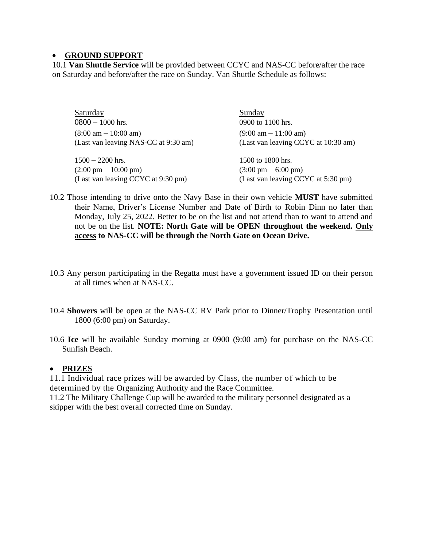### • **GROUND SUPPORT**

10.1 **Van Shuttle Service** will be provided between CCYC and NAS-CC before/after the race on Saturday and before/after the race on Sunday. Van Shuttle Schedule as follows:

| <b>Saturday</b>                        | Sunday                                 |
|----------------------------------------|----------------------------------------|
| $0800 - 1000$ hrs.                     | 0900 to 1100 hrs.                      |
| $(8:00 \text{ am} - 10:00 \text{ am})$ | $(9:00 \text{ am} - 11:00 \text{ am})$ |
| (Last van leaving NAS-CC at 9:30 am)   | (Last van leaving CCYC at 10:30 am)    |
| $1500 - 2200$ hrs.                     | 1500 to 1800 hrs.                      |
| $(2:00 \text{ pm} - 10:00 \text{ pm})$ | $(3:00 \text{ pm} - 6:00 \text{ pm})$  |
| (Last van leaving CCYC at 9:30 pm)     | (Last van leaving CCYC at 5:30 pm)     |

- 10.2 Those intending to drive onto the Navy Base in their own vehicle **MUST** have submitted their Name, Driver's License Number and Date of Birth to Robin Dinn no later than Monday, July 25, 2022. Better to be on the list and not attend than to want to attend and not be on the list. **NOTE: North Gate will be OPEN throughout the weekend. Only access to NAS-CC will be through the North Gate on Ocean Drive.**
- 10.3 Any person participating in the Regatta must have a government issued ID on their person at all times when at NAS-CC.
- 10.4 **Showers** will be open at the NAS-CC RV Park prior to Dinner/Trophy Presentation until 1800 (6:00 pm) on Saturday.
- 10.6 **Ice** will be available Sunday morning at 0900 (9:00 am) for purchase on the NAS-CC Sunfish Beach.

### • **PRIZES**

11.1 Individual race prizes will be awarded by Class, the number of which to be determined by the Organizing Authority and the Race Committee.

11.2 The Military Challenge Cup will be awarded to the military personnel designated as a skipper with the best overall corrected time on Sunday.